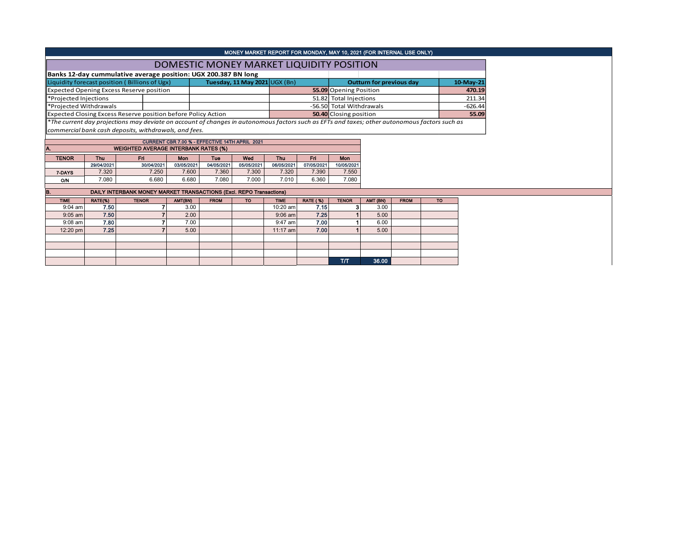|                        |                   |                                                                                                                                               |                   |                                                | MONEY MARKET REPORT FOR MONDAY, MAY 10, 2021 (FOR INTERNAL USE ONLY) |                   |                        |                               |          |                                 |           |           |  |  |
|------------------------|-------------------|-----------------------------------------------------------------------------------------------------------------------------------------------|-------------------|------------------------------------------------|----------------------------------------------------------------------|-------------------|------------------------|-------------------------------|----------|---------------------------------|-----------|-----------|--|--|
|                        |                   |                                                                                                                                               |                   | DOMESTIC MONEY MARKET LIQUIDITY POSITION       |                                                                      |                   |                        |                               |          |                                 |           |           |  |  |
|                        |                   | Banks 12-day cummulative average position: UGX 200.387 BN long                                                                                |                   |                                                |                                                                      |                   |                        |                               |          |                                 |           |           |  |  |
|                        |                   | Liquidity forecast position (Billions of Ugx)                                                                                                 |                   |                                                | Tuesday, 11 May 2021 UGX (Bn)                                        |                   |                        |                               |          | <b>Outturn for previous day</b> |           | 10-May-21 |  |  |
|                        |                   | <b>Expected Opening Excess Reserve position</b>                                                                                               |                   |                                                |                                                                      |                   | 55.09 Opening Position |                               |          |                                 |           |           |  |  |
| *Projected Injections  |                   |                                                                                                                                               |                   |                                                |                                                                      |                   | 51.82 Total Injections |                               |          |                                 |           | 211.34    |  |  |
| *Proiected Withdrawals |                   |                                                                                                                                               |                   |                                                |                                                                      |                   |                        | -56.50 Total Withdrawals      |          |                                 |           | $-626.44$ |  |  |
|                        |                   | Expected Closing Excess Reserve position before Policy Action                                                                                 |                   |                                                |                                                                      |                   |                        | <b>50.40</b> Closing position |          |                                 |           | 55.09     |  |  |
|                        |                   | *The current day projections may deviate on account of changes in autonomous factors such as EFTs and taxes; other autonomous factors such as |                   |                                                |                                                                      |                   |                        |                               |          |                                 |           |           |  |  |
|                        |                   | commercial bank cash deposits, withdrawals, and fees.                                                                                         |                   |                                                |                                                                      |                   |                        |                               |          |                                 |           |           |  |  |
|                        |                   |                                                                                                                                               |                   | CURRENT CBR 7.00 % - EFFECTIVE 14TH APRIL 2021 |                                                                      |                   |                        |                               |          |                                 |           |           |  |  |
| A.                     |                   | <b>WEIGHTED AVERAGE INTERBANK RATES (%)</b>                                                                                                   |                   |                                                |                                                                      |                   |                        |                               |          |                                 |           |           |  |  |
|                        |                   |                                                                                                                                               |                   |                                                |                                                                      |                   |                        |                               |          |                                 |           |           |  |  |
| <b>TENOR</b>           | Thu<br>29/04/2021 | Fri<br>30/04/2021                                                                                                                             | Mon<br>03/05/2021 | <b>Tue</b><br>04/05/2021                       | Wed<br>05/05/2021                                                    | Thu<br>06/05/2021 | Fri<br>07/05/2021      | <b>Mon</b><br>10/05/2021      |          |                                 |           |           |  |  |
| 7-DAYS                 | 7.320             | 7.250                                                                                                                                         | 7.600             | 7.360                                          | 7.300                                                                | 7.320             | 7.390                  | 7.550                         |          |                                 |           |           |  |  |
| <b>O/N</b>             | 7.080             | 6.680                                                                                                                                         | 6.680             | 7.080                                          | 7.000                                                                | 7.010             | 6.360                  | 7.080                         |          |                                 |           |           |  |  |
|                        |                   |                                                                                                                                               |                   |                                                |                                                                      |                   |                        |                               |          |                                 |           |           |  |  |
| B.                     |                   | DAILY INTERBANK MONEY MARKET TRANSACTIONS (Excl. REPO Transactions)                                                                           |                   |                                                |                                                                      |                   |                        |                               |          |                                 |           |           |  |  |
| <b>TIME</b>            | RATE(%)           | <b>TENOR</b>                                                                                                                                  | AMT(BN)           | <b>FROM</b>                                    | <b>TO</b>                                                            | <b>TIME</b>       | <b>RATE (%)</b>        | <b>TENOR</b>                  | AMT (BN) | <b>FROM</b>                     | <b>TO</b> |           |  |  |
| $9:04$ am              | 7.50              |                                                                                                                                               | 3.00              |                                                |                                                                      | 10:20 am          | 7.15                   | 3                             | 3.00     |                                 |           |           |  |  |
| $9:05$ am              | 7.50              |                                                                                                                                               | 2.00              |                                                |                                                                      | $9:06$ am         | 7.25                   |                               | 5.00     |                                 |           |           |  |  |
| $9:08$ am              | 7.80              |                                                                                                                                               | 7.00              |                                                |                                                                      | $9:47$ am         | 7.00                   |                               | 6.00     |                                 |           |           |  |  |
| 12:20 pm               | 7.25              |                                                                                                                                               | 5.00              |                                                |                                                                      | $11:17$ am        | 7.00                   |                               | 5.00     |                                 |           |           |  |  |
|                        |                   |                                                                                                                                               |                   |                                                |                                                                      |                   |                        |                               |          |                                 |           |           |  |  |
|                        |                   |                                                                                                                                               |                   |                                                |                                                                      |                   |                        |                               |          |                                 |           |           |  |  |
|                        |                   |                                                                                                                                               |                   |                                                |                                                                      |                   |                        |                               |          |                                 |           |           |  |  |
|                        |                   |                                                                                                                                               |                   |                                                |                                                                      |                   |                        | T/T                           | 36.00    |                                 |           |           |  |  |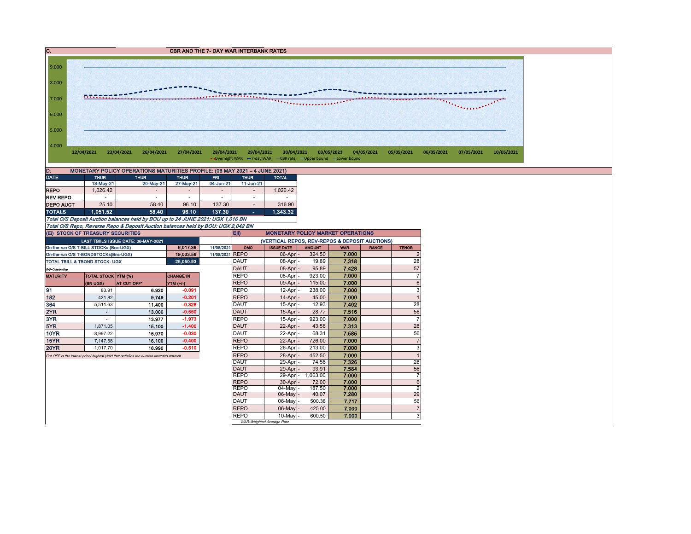



| D.<br>MONETARY POLICY OPERATIONS MATURITIES PROFILE: (06 MAY 2021 - 4 JUNE 2021) |             |                          |             |            |                          |              |  |  |  |  |  |  |
|----------------------------------------------------------------------------------|-------------|--------------------------|-------------|------------|--------------------------|--------------|--|--|--|--|--|--|
| <b>DATE</b>                                                                      | <b>THUR</b> | <b>THUR</b>              | <b>THUR</b> | <b>FRI</b> | <b>THUR</b>              | <b>TOTAL</b> |  |  |  |  |  |  |
|                                                                                  | 13-May-21   | 20-May-21                | 27-May-21   | 04-Jun-21  | 11-Jun-21                |              |  |  |  |  |  |  |
| <b>REPO</b>                                                                      | 1.026.42    | $\overline{\phantom{a}}$ | $\,$        |            | $\overline{\phantom{a}}$ | 1.026.42     |  |  |  |  |  |  |
| <b>REV REPO</b>                                                                  |             |                          |             | ۰          | ۰                        |              |  |  |  |  |  |  |
| <b>DEPO AUCT</b>                                                                 | 25.10       | 58.40                    | 96.10       | 137.30     | $\overline{\phantom{a}}$ | 316.90       |  |  |  |  |  |  |
| <b>TOTALS</b>                                                                    | 1.051.52    | 58.40                    | 96.10       | 137.30     | ۰                        | 1.343.32     |  |  |  |  |  |  |

Total O/S Deposit Auction balances held by BOU up to 24 JUNE 2021: UGX 1,016 BN Total O/S Repo, Reverse Repo & Deposit Auction balances held by BOU: UGX 2,042 BN (Ei) STOCK OF TREASURY SECURITIES

|                                           |                            |                                                                                       |                  | ______________                                         |                                                |                           |               |            |              |                |  |  |  |
|-------------------------------------------|----------------------------|---------------------------------------------------------------------------------------|------------------|--------------------------------------------------------|------------------------------------------------|---------------------------|---------------|------------|--------------|----------------|--|--|--|
| (EI) STOCK OF TREASURY SECURITIES         |                            |                                                                                       |                  | <b>Eii</b><br><b>MONETARY POLICY MARKET OPERATIONS</b> |                                                |                           |               |            |              |                |  |  |  |
|                                           |                            | LAST TBIILS ISSUE DATE: 06-MAY-2021                                                   |                  |                                                        | (VERTICAL REPOS, REV-REPOS & DEPOSIT AUCTIONS) |                           |               |            |              |                |  |  |  |
| On-the-run O/S T-BILL STOCKs (Bns-UGX)    |                            |                                                                                       | 6.017.36         | 11/05/2021                                             | OMO                                            | <b>ISSUE DATE</b>         | <b>AMOUNT</b> | <b>WAR</b> | <b>RANGE</b> | <b>TENOR</b>   |  |  |  |
| On-the-run O/S T-BONDSTOCKs(Bns-UGX)      | 11/05/2021 REPO            |                                                                                       | 06-Apr           | 324.50                                                 | 7.000                                          |                           |               |            |              |                |  |  |  |
| <b>TOTAL TBILL &amp; TBOND STOCK- UGX</b> |                            |                                                                                       | 25 050 93        |                                                        | <b>DAUT</b>                                    | 08-Apr                    | 19.89         | 7.318      |              | 28             |  |  |  |
| O/S=Outstanding                           |                            |                                                                                       |                  |                                                        | <b>DAUT</b>                                    | 08-Apr                    | 95.89         | 7.428      |              | 57             |  |  |  |
| <b>MATURITY</b>                           | <b>TOTAL STOCK YTM (%)</b> |                                                                                       | <b>CHANGE IN</b> |                                                        | <b>REPO</b>                                    | 08-Apr                    | 923.00        | 7.000      |              | $\overline{7}$ |  |  |  |
|                                           | (BN UGX)                   | <b>AT CUT OFF*</b>                                                                    | YTM (+/-)        |                                                        | <b>REPO</b>                                    | 09-Apr                    | 115.00        | 7.000      |              | 6              |  |  |  |
| 91                                        | 83.91                      | 6.920                                                                                 | $-0.091$         |                                                        | <b>REPO</b>                                    | 12-Apr                    | 238.00        | 7.000      |              | 3              |  |  |  |
| 182                                       | 421.82                     | 9.749                                                                                 | $-0.201$         |                                                        | <b>REPO</b>                                    | 14-Apr                    | 45.00         | 7.000      |              |                |  |  |  |
| 364                                       | 5,511.63                   | 11.400                                                                                | $-0.328$         |                                                        | <b>DAUT</b>                                    | 15-Apr                    | 12.93         | 7.402      |              | 28             |  |  |  |
| 2YR                                       |                            | 13.000                                                                                | $-0.550$         |                                                        | DAUT                                           | 15-Apr                    | 28.77         | 7.516      |              | 56             |  |  |  |
| 3YR                                       |                            | 13.977                                                                                | $-1.973$         |                                                        | <b>REPO</b>                                    | 15-Apr                    | 923.00        | 7.000      |              | $\overline{7}$ |  |  |  |
| 5YR                                       | 1,871.05                   | 15.100                                                                                | $-1.400$         |                                                        | <b>DAUT</b>                                    | 22-Apr                    | 43.56         | 7.313      |              | 28             |  |  |  |
| <b>10YR</b>                               | 8.997.22                   | 15.970                                                                                | $-0.030$         |                                                        | <b>DAUT</b>                                    | 22-Apr                    | 68.31         | 7.585      |              | 56             |  |  |  |
| 15YR                                      | 7,147.58                   | 16.100                                                                                | $-0.400$         |                                                        | <b>REPO</b>                                    | 22-Apr                    | 726.00        | 7.000      |              | $\overline{7}$ |  |  |  |
| <b>20YR</b>                               | 1.017.70                   | 16.990                                                                                | $-0.510$         |                                                        | <b>REPO</b>                                    | 26-Apr                    | 213.00        | 7.000      |              | 3              |  |  |  |
|                                           |                            | Cut OFF is the lowest price/ highest yield that satisfies the auction awarded amount. |                  |                                                        | <b>REPO</b>                                    | 28-Apr                    | 452.50        | 7.000      |              |                |  |  |  |
|                                           |                            |                                                                                       |                  |                                                        | <b>DAUT</b>                                    | 29-Apr                    | 74.58         | 7.326      |              | 28             |  |  |  |
|                                           |                            |                                                                                       |                  |                                                        | DAUT                                           | 29-Apr                    | 93.91         | 7.584      |              | 56             |  |  |  |
|                                           |                            |                                                                                       |                  |                                                        | <b>REPO</b>                                    | 29-Apr                    | 1,063.00      | 7.000      |              | $\overline{7}$ |  |  |  |
|                                           |                            |                                                                                       |                  |                                                        | <b>REPO</b>                                    | 30-Apr                    | 72.00         | 7.000      |              | 6              |  |  |  |
|                                           |                            |                                                                                       |                  |                                                        | <b>REPO</b>                                    | 04-May                    | 187.50        | 7.000      |              | $\overline{2}$ |  |  |  |
|                                           |                            |                                                                                       |                  |                                                        | <b>DAUT</b>                                    | 06-May                    | 40.07         | 7.280      |              | 29             |  |  |  |
|                                           |                            |                                                                                       |                  |                                                        | <b>DAUT</b>                                    | 06-May                    | 500.38        | 7.717      |              | 56             |  |  |  |
|                                           |                            |                                                                                       |                  |                                                        | <b>REPO</b>                                    | $06$ -May                 | 425.00        | 7.000      |              | $\overline{7}$ |  |  |  |
|                                           |                            |                                                                                       |                  |                                                        | <b>REPO</b>                                    | 10-May                    | 600.50        | 7.000      |              | 3              |  |  |  |
|                                           |                            |                                                                                       |                  |                                                        |                                                | WAR-Weighted Average Rate |               |            |              |                |  |  |  |